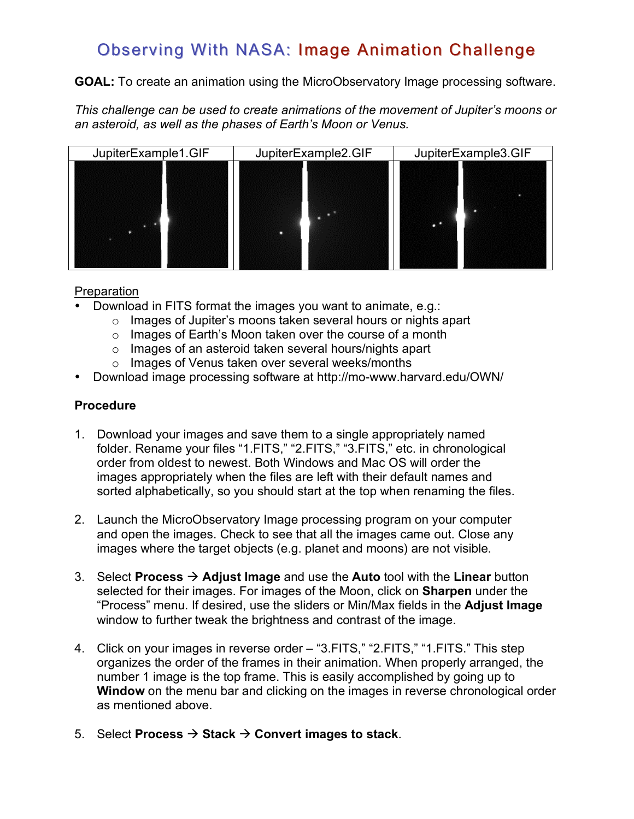## Observing With NASA: Image Animation Challenge

**GOAL:** To create an animation using the MicroObservatory Image processing software.

*This challenge can be used to create animations of the movement of Jupiter's moons or an asteroid, as well as the phases of Earth's Moon or Venus.*



## **Preparation**

- Download in FITS format the images you want to animate, e.g.:
	- o Images of Jupiter's moons taken several hours or nights apart
	- o Images of Earth's Moon taken over the course of a month
	- o Images of an asteroid taken several hours/nights apart
	- o Images of Venus taken over several weeks/months
- Download image processing software at http://mo-www.harvard.edu/OWN/

## **Procedure**

- 1. Download your images and save them to a single appropriately named folder. Rename your files "1.FITS," "2.FITS," "3.FITS," etc. in chronological order from oldest to newest. Both Windows and Mac OS will order the images appropriately when the files are left with their default names and sorted alphabetically, so you should start at the top when renaming the files.
- 2. Launch the MicroObservatory Image processing program on your computer and open the images. Check to see that all the images came out. Close any images where the target objects (e.g. planet and moons) are not visible.
- 3. Select **Process**  $\rightarrow$  **Adjust Image** and use the **Auto** tool with the **Linear** button selected for their images. For images of the Moon, click on **Sharpen** under the "Process" menu. If desired, use the sliders or Min/Max fields in the **Adjust Image** window to further tweak the brightness and contrast of the image.
- 4. Click on your images in reverse order "3.FITS," "2.FITS," "1.FITS." This step organizes the order of the frames in their animation. When properly arranged, the number 1 image is the top frame. This is easily accomplished by going up to **Window** on the menu bar and clicking on the images in reverse chronological order as mentioned above.
- 5. Select **Process**  $\rightarrow$  **Stack**  $\rightarrow$  **Convert images to stack.**